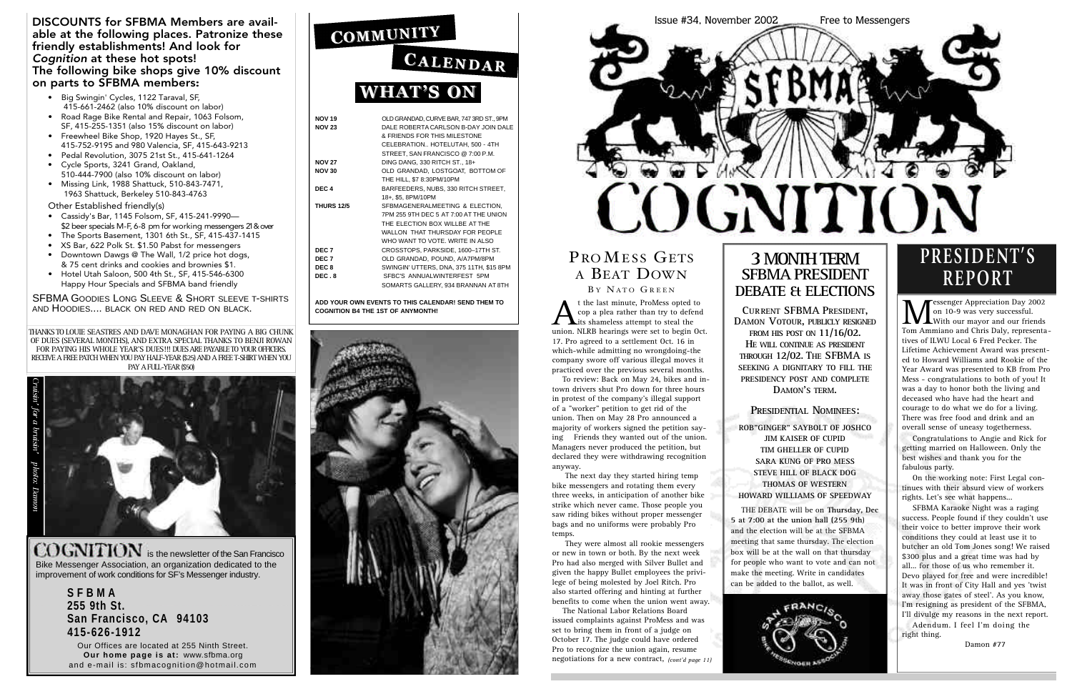| <b>NOV 19</b>     | OLD GRANDAD, CURVE BAR, 747 3RD ST., 9PM |
|-------------------|------------------------------------------|
| <b>NOV 23</b>     | DALE ROBERTA CARLSON B-DAY JOIN DALE     |
|                   | & FRIENDS FOR THIS MILESTONE             |
|                   | CELEBRATION HOTELUTAH, 500 - 4TH         |
|                   | STREET. SAN FRANCISCO @ 7:00 P.M.        |
| <b>NOV 27</b>     | DING DANG, 330 RITCH ST., 18+            |
| <b>NOV 30</b>     | OLD GRANDAD, LOSTGOAT, BOTTOM OF         |
|                   | THE HILL, \$7 8:30PM/10PM                |
| DEC <sub>4</sub>  | BARFEEDERS, NUBS, 330 RITCH STREET,      |
|                   | 18+. \$5. 8PM/10PM                       |
| <b>THURS 12/5</b> | SFBMAGENERALMEETING & ELECTION,          |
|                   | 7PM 255 9TH DEC 5 AT 7:00 AT THE UNION   |
|                   | THE ELECTION BOX WILLBE AT THE           |
|                   | WALLON THAT THURSDAY FOR PEOPLE          |
|                   | WHO WANT TO VOTE, WRITE IN ALSO          |
| DEC <sub>7</sub>  | CROSSTOPS, PARKSIDE, 1600-17TH ST.       |
| DEC 7             | OLD GRANDAD, POUND, A/A7PM/8PM           |
| DEC <sub>8</sub>  | SWINGIN' UTTERS, DNA, 375 11TH, \$15 8PM |
| DEC.8             | SFBC'S ANNUALWINTERFEST 5PM              |
|                   | SOMARTS GALLERY, 934 BRANNAN AT 8TH      |
|                   |                                          |

COGNITION is the newsletter of the San Francisco Bike Messenger Association, an organization dedicated to the improvement of work conditions for SF's Messenger industry.

**ADD YOUR OWN EVENTS TO THIS CALENDAR! SEND THEM TO COGNITION B4 THE 1ST OF ANYMONTH!**



**S F B M A 255 9th St. San Francisco, CA 94103 4 1 5 - 6 2 6 - 1 9 1 2**

Our Offices are located at 255 Ninth Street. **Our home page is at: www.sfbma.org** and e-mail is: sfbmacognition@hotmail.com

# COMMUNITY CALENDAR

# **WHAT'S ON**

### DISCOUNTS for SFBMA Members are available at the following places. Patronize these friendly establishments! And look for *Cognition* at these hot spots! The following bike shops give 10% discount on parts to SFBMA members:

# **3MONTH TERM SFBMA PRESIDENT DEBATE & ELECTIONS**

**CU RRENT SFBMA PRESIDENT, DAMON VOTOUR, PUBLICLY RESIGNED FROM HIS POST ON 11/16/02. HE** WILL CONTINUE AS PRESIDENT **THROUGH 12/02. THE SFBMA IS SEEKING A DIGNITARY TO FILL THE PRESIDENCY POST AND COMPLETE** DAMON'S TERM.

### **PRESIDENTIAL NOMINEES:**

- Big Swingin' Cycles, 1122 Taraval, SF, 415-661-2462 (also 10% discount on labor)
- Road Rage Bike Rental and Repair, 1063 Folsom, SF, 415-255-1351 (also 15% discount on labor)
- Freewheel Bike Shop, 1920 Hayes St., SF, 415-752-9195 and 980 Valencia, SF, 415-643-9213
- Pedal Revolution, 3075 21st St., 415-641-1264 • Cycle Sports, 3241 Grand, Oakland,
- 510-444-7900 (also 10% discount on labor) • Missing Link, 1988 Shattuck, 510-843-7471, 1963 Shattuck, Berkeley 510-843-4763

Other Established friendly(s)

**M** essenger Appreciation Day 2002<br>
On 10-9 was very successful.<br>
Tom Ammiano and Chris Daly, representa-**Fessenger Appreciation Day 2002** on 10-9 was very successful. With our mayor and our friends tives of ILWU Local 6 Fred Pecker. The Lifetime Achievement Award was presented to Howard Williams and Rookie of the Year Award was presented to KB from Pro Mess - congratulations to both of you! It was a day to honor both the living and deceased who have had the heart and courage to do what we do for a living. There was free food and drink and an overall sense of uneasy togetherness.

- Cassidy's Bar, 1145 Folsom, SF, 415-241-9990— \$2 beer specials M-F, 6-8 pm for working messengers 21 & over
- The Sports Basement, 1301 6th St., SF, 415-437-1415
- XS Bar, 622 Polk St. \$1.50 Pabst for messengers
- Downtown Dawgs @ The Wall, 1/2 price hot dogs, & 75 cent drinks and cookies and brownies \$1.
- Hotel Utah Saloon, 500 4th St., SF, 415-546-6300 Happy Hour Specials and SFBMA band friendly

SFBMA GOODIES LONG SLEEVE & SHORT SLEEVE T-SHIRTS AND HOODIES.... BLACK ON RED AND RED ON BLACK.

THANKS TO LOUIE SEASTRES AND DAVE MONAGHAN FOR PAYING A BIG CHUNK OF DUES (SEVERAL MONTHS), AND EXTRA SPECIAL THANKS TO BENJI ROWAN FOR PAYING HIS WHOLE YEAR'S DUES!!! DUES ARE PAYABLE TO YOUR OFFICERS. RECEIVE A FREE PATCH WHEN YOU PAY HALF-YEAR (\$25) AND A FREE T-SHIRT WHEN YOU PAY A FULL-YEAR (\$50)





## PROMESS GETS A BEAT DOWN BY NATO GREEN

**ROB"GINGER" SAYBOLT OF JOSHCO JIM KAISER OF CUPID TIM GHELLER OF CUPID SARA KUNG OF PRO MESS STEVE HILL OF BLACK DOG THOMAS OF WESTERN HOWARD WILLIAMS OF SPEEDWAY**

THE DEBATE will be on **Thursday, Dec 5 at 7:00 at the union hall (255 9th**) and the election will be at the SFBMA meeting that same thursday. The election box will be at the wall on that thursday for people who want to vote and can not make the meeting. Write in candidates can be added to the ballot, as well.



Congratulations to Angie and Rick for getting married on Halloween. Only the best wishes and thank you for the fabulous party.

On the working note: First Legal continues with their absurd view of workers rights. Let's see what happens...

SFBMA Karaoke Night was a raging success. People found if they couldn't use their voice to better improve their work conditions they could at least use it to butcher an old Tom Jones song! We raised \$300 plus and a great time was had by all... for those of us who remember it. Devo played for free and were incredible! It was in front of City Hall and yes 'twist away those gates of steel'. As you know, I'm resigning as president of the SFBMA, I'll divulge my reasons in the next report. Adendum. I feel I'm doing the

right thing.

Damon #77

# **P R E S I D E N T ' S R E P O R T**

A t the last minute, ProMess opted to cop a plea rather than try to defend its shameless attempt to steal the union. NLRB hearings were set to begin Oct. 17. Pro agreed to a settlement Oct. 16 in which-while admitting no wrongdoing-the company swore off various illegal moves it practiced over the previous several months.

To review: Back on May 24, bikes and intown drivers shut Pro down for three hours in protest of the company's illegal support of a "worker" petition to get rid of the union. Then on May 28 Pro announced a majority of workers signed the petition saying Friends they wanted out of the union. Managers never produced the petition, but declared they were withdrawing recognition anyway.

The next day they started hiring temp bike messengers and rotating them every three weeks, in anticipation of another bike strike which never came. Those people you saw riding bikes without proper messenger bags and no uniforms were probably Pro temps.

They were almost all rookie messengers or new in town or both. By the next week Pro had also merged with Silver Bullet and given the happy Bullet employees the privilege of being molested by Joel Ritch. Pro also started offering and hinting at further benefits to come when the union went away.

The National Labor Relations Board issued complaints against ProMess and was set to bring them in front of a judge on October 17. The judge could have ordered Pro to recognize the union again, resume negotiations for a new contract, *(cont'd page 11)*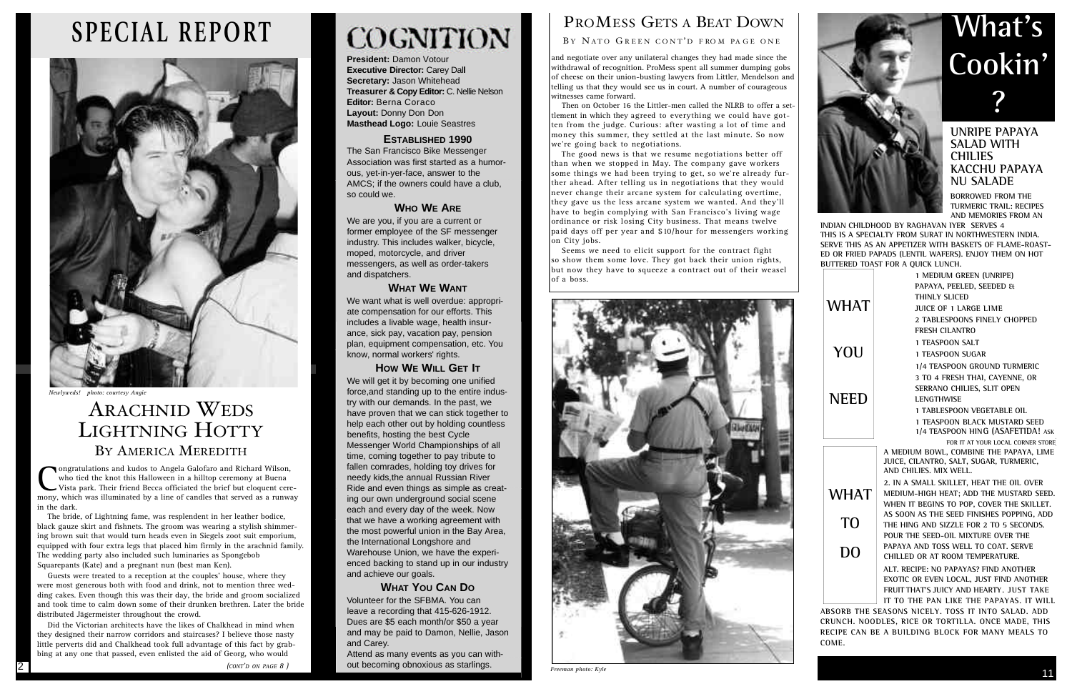**President:** Damon Votour **Executive Director: Carey Dall Secretary:** Jason Whitehead **Treasurer & Copy Editor:** C. Nellie Nelson **Editor: Berna Coraco Layout:** Donny Don Don **Masthead Logo:** Louie Seastres

### **ESTABLISHED 1990**

The San Francisco Bike Messenger Association was first started as a humorous, yet-in-yer-face, answer to the AMCS; if the owners could have a club, so could we.

### **WHO WE ARE**

We are you, if you are a current or former employee of the SF messenger industry. This includes walker, bicycle, moped, motorcycle, and driver messengers, as well as order-takers and dispatchers.

### **WHAT WE WANT**

We want what is well overdue: appropriate compensation for our efforts. This includes a livable wage, health insurance, sick pay, vacation pay, pension plan, equipment compensation, etc. You know, normal workers' rights.

### **HOW WE WILL GET IT**

We will get it by becoming one unified force,and standing up to the entire industry with our demands. In the past, we have proven that we can stick together to help each other out by holding countless benefits, hosting the best Cycle Messenger World Championships of all time, coming together to pay tribute to fallen comrades, holding toy drives for needy kids,the annual Russian River Ride and even things as simple as creating our own underground social scene each and every day of the week. Now that we have a working agreement with the most powerful union in the Bay Area, the International Longshore and Warehouse Union, we have the experienced backing to stand up in our industry and achieve our goals.

### **WHAT YOU CAN DO**

Volunteer for the SFBMA. You can leave a recording that 415-626-1912. Dues are \$5 each month/or \$50 a year and may be paid to Damon, Nellie, Jason and Carey.

Attend as many events as you can without becoming obnoxious as starlings.

# PROMESS GETS A BEAT DOWN

BY NATO GREEN CONT'D FROM PAGE ONEI

Congratulations and kudos to Angela Galofaro and Richard Wilson, who tied the knot this Halloween in a hilltop ceremony at Buena Vista park. Their friend Becca officiated the brief but eloquent ceremony, which was illumina ongratulations and kudos to Angela Galofaro and Richard Wilson, who tied the knot this Halloween in a hilltop ceremony at Buena Vista park. Their friend Becca officiated the brief but eloquent cerein the dark.

**UNRIPE PAPAYA SALAD WITH CHILIES KACCHU PAPAYA NU SALADE**

**BORROWED FROM THE TURMERIC TRAIL: RECIPES AND MEMORIES FROM AN**

**INDIAN CHILDHOOD BY RAGHAVAN IYER SERVES 4 THIS IS A SPECIALTY FROM SURAT IN NORTHWESTERN INDIA. SERVE THIS AS AN APPETIZER WITH BASKETS OF FLAME-ROAST-ED OR FRIED PAPADS (LENTIL WAFERS). ENJOY THEM ON HOT BUTTERED TOAST FOR A QUICK LUNCH.**

|             | 1 MEDIUM GREEN (UNRIPE)                                                             |
|-------------|-------------------------------------------------------------------------------------|
|             | PAPAYA, PEELED, SEEDED &                                                            |
|             | THINLY SLICED                                                                       |
| <b>WHAT</b> | JUICE OF 1 LARGE LIME                                                               |
|             | 2 TABLESPOONS FINELY CHOPPED                                                        |
|             | <b>FRESH CILANTRO</b>                                                               |
|             | <b>1 TEASPOON SALT</b>                                                              |
| YOU         | <b>1 TEASPOON SUGAR</b>                                                             |
|             | 1/4 TEASPOON GROUND TURMERIC                                                        |
|             | 3 TO 4 FRESH THAI, CAYENNE, OR                                                      |
|             | SERRANO CHILIES, SLIT OPEN                                                          |
| <b>NEED</b> | <b>LENGTHWISE</b>                                                                   |
|             | <b>1 TABLESPOON VEGETABLE OIL</b>                                                   |
|             | <b>1 TEASPOON BLACK MUSTARD SEED</b>                                                |
|             | 1/4 TEASPOON HING (ASAFETIDA! ASK                                                   |
|             | FOR IT AT YOUR LOCAL CORNER STORE                                                   |
|             | A MEDIUM BOWL, COMBINE THE PAPAYA, LIME<br>JUICE, CILANTRO, SALT, SUGAR, TURMERIC,  |
|             | AND CHILIES, MIX WELL.                                                              |
|             | 2. IN A SMALL SKILLET, HEAT THE OIL OVER                                            |
| <b>WHAT</b> | MEDIUM-HIGH HEAT; ADD THE MUSTARD SEED.                                             |
|             | WHEN IT BEGINS TO POP, COVER THE SKILLET.                                           |
|             | AS SOON AS THE SEED FINISHES POPPING, ADD                                           |
| TO          | THE HING AND SIZZLE FOR 2 TO 5 SECONDS.                                             |
|             | POUR THE SEED-OIL MIXTURE OVER THE                                                  |
| DO          | PAPAYA AND TOSS WELL TO COAT. SERVE                                                 |
|             | CHILLED OR AT ROOM TEMPERATURE.                                                     |
|             | ALT. RECIPE: NO PAPAYAS? FIND ANOTHER                                               |
|             | EXOTIC OR EVEN LOCAL, JUST FIND ANOTHER                                             |
|             | FRUIT THAT'S JUICY AND HEARTY. JUST TAKE<br>IT TO THE PAN LIKE THE PAPAYAS. IT WILL |
|             |                                                                                     |

**ABSORB THE SEASONS NICELY. TOSS IT INTO SALAD. ADD CRUNCH. NOODLES, RICE OR TORTILLA. ONCE MADE, THIS RECIPE CAN BE A BUILDING BLOCK FOR MANY MEALS TO C O M E .**

# **What's Cookin' ?**

# ARACHNID WEDS LIGHTNING HOTTY BY AMERICA MEREDITH

The bride, of Lightning fame, was resplendent in her leather bodice, black gauze skirt and fishnets. The groom was wearing a stylish shimmering brown suit that would turn heads even in Siegels zoot suit emporium, equipped with four extra legs that placed him firmly in the arachnid family. The wedding party also included such luminaries as Spongebob Squarepants (Kate) and a pregnant nun (best man Ken).

Guests were treated to a reception at the couples' house, where they were most generous both with food and drink, not to mention three wedding cakes. Even though this was their day, the bride and groom socialized and took time to calm down some of their drunken brethren. Later the bride distributed Jägermeister throughout the crowd.

Did the Victorian architects have the likes of Chalkhead in mind when they designed their narrow corridors and staircases? I believe those nasty little perverts did and Chalkhead took full advantage of this fact by grabbing at any one that passed, even enlisted the aid of Georg, who would

*(CONT'D ON PAGE 8 )*

# **COGNITION**

and negotiate over any unilateral changes they had made since the withdrawal of recognition. ProMess spent all summer dumping gobs of cheese on their union-busting lawyers from Littler, Mendelson and telling us that they would see us in court. A number of courageous witnesses came forward.

Then on October 16 the Littler-men called the NLRB to offer a settlement in which they agreed to everything we could have gotten from the judge. Curious: after wasting a lot of time and money this summer, they settled at the last minute. So now we're going back to negotiations.

The good news is that we resume negotiations better off than when we stopped in May. The company gave workers some things we had been trying to get, so we're already further ahead. After telling us in negotiations that they would never change their arcane system for calculating overtime, they gave us the less arcane system we wanted. And they'll have to begin complying with San Francisco's living wage ordinance or risk losing City business. That means twelve paid days off per year and \$10/hour for messengers working on City jobs.

Seems we need to elicit support for the contract fight so show them some love. They got back their union rights, but now they have to squeeze a contract out of their weasel of a boss.



*Freeman photo: Kyle*



# **SPECIAL REPORT**



*Newlyweds! photo: courtesy Angie*

2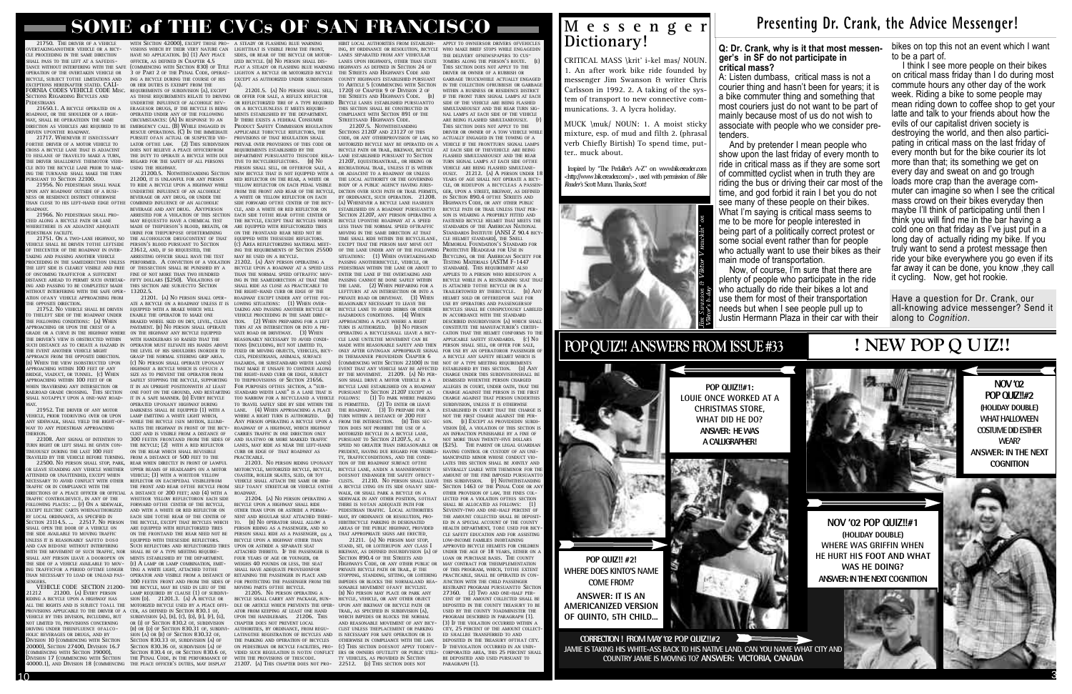### **Q: Dr. Crank, why is it that most messenger's in SF do not participate in**

**critical mass?**

# $10<sup>3</sup>$

A: Listen dumbass, critical mass is not a courier thing and hasn't been for years; it is a bike commuter thing and something that most couriers just do not want to be part of mainly because most of us do not wish to associate with people who we consider pre-

who actually do ride their bikes a lot and use them for most of their transportation needs but when I see people pull up to Justin Hermann Plaza in their car with their

tenders. And by pretender I mean people who show upon the last friday of every month to ride in critical mass as if they are some sort of committed cyclist when in truth they are riding the bus or driving their car most of the time, and god forbid it rain I bet you do not see many of these people on their bikes. What I'm saying is critical mass seems to me to be more for people interested in being part of a politically correct protest or some social event rather than for people who actually want to use their bikes as their main mode of transportation. Now, of course, I'm sure that there are plenty of people who participate in the ride

> Have a question for Dr. Crank, our all-knowing advice messenger? Send it along to *Cognition*.

bikes on top this not an event which I want to be a part of.

**ANSWER: IT IS AN AMERICANIZED VERSION OF QUINTO, 5TH CHILD.** 



**NOV '02 POP QUIZ!!#2 (HOLIDAY DOUBLE) WHAT HALLOWEEN COSTUME DID ESTHER WEAR? ANSWER: IN THE NEXT COGNITION** 

# **M e s s e n g e r Dictionary!**

**NOV '02 POP QUIZ!!#1 (HOLIDAY DOUBLE) WHERE WAS GRIFFIN WHEN HE HURT HIS FOOT AND WHAT WAS HE DOING? ANSWER: IN THE NEXT COGNITION** 



I think I see more people on their bikes on critical mass friday than I do during most commute hours any other day of the work week. Riding a bike to some people may mean riding down to coffee shop to get your latte and talk to your friends about how the evils of our capitalist driven society is destroying the world, and then also participating in critical mass on the last friday of every month but for the bike courier its lot more than that; its something we get on every day and sweat on and go trough loads more crap than the average commuter can imagine so when I see the critical mass crowd on their bikes everyday then maybe I'll think of participating until then I think you will find me in the bar having a cold one on that friday as I've just put in a long day of actually riding my bike. If you truly want to send a protest message then ride your bike everywhere you go even if its far away it can be done, you know ,they call it cycling. Now, get hot rookie.

## SOME of THE CVCs OF SAN FRANCISCO A STEADY OR FLASHING BLUE WARNING

21750. THE DRIVER OF A VEHICLI VERTAKINGANOTHER VEHICLE OR A BICY-LE PROCEEDING IN THE SAME DIRECTION HALL PASS TO THE LEET AT A SAFEDIS-ANCE WITHOUT INTERFERING WITH THE SAF OPERATION OF THE OVERTAKEN VEHICLE OR ICYCLE, SUBJECT TOTHE LIMITATIONS AND X CEPTIONS HEREINAETER STATED. CALL-THE TIGHT THAT THE STILLET ONE MISC ECTIONS REGARDING BICYCLES AND **EDESTRIANS** 

21650.1. A BICYCLE OPERATED ON A A D WAY, OR THE SHOULDER OF A HIGH-VAY, SHALL BE OPERATEDIN THE SAME IRECTION AS VEHICLES ARE REQUIRED TO B RIVEN UPONTHE ROADWAY.

21717. WHENEVER IT ISNECESSARY ORTHE DRIVER OF A MOTOR VEHICLE TO ROSS A BICYCLE LANE THAT IS ADJACENT HISLANE OF TRAVELTO MAKE A TURN, IE DRIVER SHALLDRIVE THEMOTOR VEHI I E INTO THE BICYCLE LANE PRIOR TO MAK-IG THE TURNAND SHALL MAKE THE TURN **URSUANT TO SECTION 22100.** 

21956. NO PEDESTRIAN SHALL WALK PON ANY ROADWAY OUTSIDE OF A BUSI-**IESS OR RESIDENCE DISTRICT OTHERWISE** HAN CLOSE TO HIS LEFT-HAND EDGE OFTH **OA DWAY.** 

21966. No pedestrian shall pro-FED ALONG A BICYCLE PATH OR LANE HERETHERE IS AN ADJACENT ADEOUATE **DESTRIAN FACILITY.** 

21751. ON A TWO-LANE HIGHWAY, NO HICLE SHALL BE DRIVEN TOTHE LEFTSIDE F THECENTER OF THE ROADWAY IN OVER-AKING AND PASSING ANOTHER VEHICLE HE LEFT SIDE IS CLEARLY VISIBLE AND FREE ON COMING TRAFFICEOR A SUFFICIENT **ISTANCE AHEAD TO PERMIT SUCH OVERTAK-IG AND PASSING TO BE COMPLETELY MADE** WITHOUT INTERFERING WITH THE SAFE OPER- 13202.5. TION OFANY VEHICLE APPROACHING FROM HE OPPOSITE DIRECTION.

21752. No vehicle shall be driven THELEFT SIDE OF THE ROADWAY UNDER HE FOLLOWING CONDITIONS: (A) WHEN PPROACHING OR UPON THE CREST OF A GRADE OR A CURVE IN THE HIGHWAY WHERE ON THE HIGHWAY ANY BICYCLE EQUIPPED HE DRIVER'S VIEW IS OBSTRUCTED WITHIN UCH DISTANCE AS TO CREATE A HAZARD IN HE EVENT ANOTHER VEHICLE MIGHT

## **P resenting Dr. Crank, the Advice Messenger!**

# **POP QUIZ!! ANSWERS FROM ISSUE #33**

**POP QUIZ!! #2! WHERE DOES KINTO'S NAME COME FROM?**

**POP QUIZ!!#1: LOUIE ONCE WORKED AT A CHRISTMAS STORE, WHAT DID HE DO? ANSWER: HE WAS A CALLIGRAPHER!**

CRITICAL MASS \krit' i- kel mas/ NOUN. 1. An after work bike ride founded by messenger Jim Swanson & writer Chris Carlsson in 1992. 2. A taking of the system of transport to new connective communications. 3. A lycra holiday.

MUCK \muk/ NOUN: 1. A moist sticky mixture, esp. of mud and filth 2. (phrasal verb Chiefly Birtish) To spend time, putter.. muck about.

Inspired by "The Pedaller's A-Z" on www.bikereader.com  $-\frac{1}{2}$  //www.bikereader.com/>, used with permission of *Bike Reader's* Scott Munn. Thanks, Scott!



# **! NEW POP Q UIZ!!**



PPROACH FROM THE OPPOSITE DIRECTION. (B) WHEN THE VIEW ISOBSTRUCTED UPON P PROACHING WITHIN 100 FEET OF ANY RIDGE, VIADUCT, OR TUNNEL. (C) WHEN PPROACHING WITHIN 100 FEET OF OR HEN TRAVERSING ANY INTERSECTION OR AILROAD GRADE CROSSING. THIS SECTION HALL NOTAPPLY UPON A ONE-WAY ROAD-WAY.

21952. THE DRIVER OF ANY MOTOR IICLE, PRIOR TODRIVING OVER OR UPON ANY SIDEWALK, SHALL YIELD THE RIGHT-OF-WAY TO ANY PEDESTRIAN APPROACHING

THEREON.<br>22108. ANY SIGNAL OF INTENTION TO JRN RIGHT OR LEFT SHALL BE GIVEN CON-NUOUSLY DURING THE LAST 100 FEFT RAVELED BY THE VEHICLE BEFORE TURNING.

LEAVE STANDING ANY VEHICLE WHETHER TTENDED OR UNATTENDED, EXCEPT WHEN ECESSARY TO AVOID CONFLICT WITH OTHER RAFFIC OR IN COMPLIANCE WITH THE DIRECTIONS OF A PEACE OFFICER OR OFFICIAL A DISTANCE OF 200 FEET; AND (4) WITH A TRAFFIC CONTROLDEVICE, IN ANY OF THE OLLOWING PLACES: ... (F) ON A SIDEWALK, X CEPT ELECTRIC CARTS WHENAUTHORIZED Y LOCAL ORDINANCE, AS SPECIFIED IN ECTION 21114.5. ... 22517. NO PERSON HALL OPEN THE DOOR OF A VEHICLE ON HE SIDE AVAILABLE TO MOVING TRAFFIC N ESS IT IS REASONARIY SAFETO DOSO AND CAN BEDONE WITHOUT INTERFERING WITH THE MOVEMENT OF SUCH TRAFFIC, NOR SHALL BE OF A TYPE MEETING REQUIRE-SHALL ANY PERSON LEAVE A DOOROPEN ON MENTS ESTABLISHED BY THE DEPARTMENT. HE SIDE OF A VEHICLE AVAILABLE TO MOV-IG TRAFFICFOR A PERIOD OFTIME LONGER HAN NECESSARY TO LOAD OR UNLOAD PAS-**ENGERS.** 

VEHICLE CODE SECTION 21200-21212 21200. (A) EVERY PERSON IDING A BICYCLE UPON A HIGHWAY HAS ALL THE RIGHTS AND IS SUBJECT TOALL THE PROVISIONS APPLICABLE TO THE DRIVER OF A CER, AS DEFINED IN SECTION 830.1 OF, EHICLE BY THIS DIVISION, INCLUDING, BUT OT LIMITED TO, PROVISIONS CONCERNING RIVING UNDER THEINFLUENCE OFALCO-IOLIC BEVERAGES OR DRUGS. AND BY **ISION 10 (COMMENCING WITH SECTION** 20000), SECTION 27400, DIVISION 16.7 OMMENCING WITH SECTION 39000), IWISION 17 (COMMENCING WITH SECTION 40000.1), AND DIVISION 18 (COMMENCING

WITH SECTION 42000), EXCEPT THOSE PRO-VISIONS WHICH BY THEIR VERY NATURE CAN LIGHTTHAT IS VISIBLE FROM THE FRONT, HAVE NO APPLICATION. (B) (1) ANY PEACE  $O$  FFICER. AS DEFINED IN CHAPTER  $4.5$ (COMMENCING WITH SECTION 830) OF TITLE ING A BICYCLE DURING THE COURSE OF HIS

OR HER DUTIES IS EXEMPT FROM THE REQUIREMENTS OF SUBDIVISION (A), EXCEPT UNDERTHE INFLUENCE OF ALCOHOLIC BEV-ERAGESOR DRUGS, IF THE BICYCLE IS BEING OPERATED UNDER ANY OF THE FOLLOWING CIRCUMSTANCES: (A) IN RESPONSE TO AN EMERGENCY CALL (B) WHILE ENGAGED IN RESCUE OPERATIONS. (C) IN THE IMMEDIATE PURSUIT OFAN ACTUAL OR SUSPECTED VIO-DOES NOT RELIEVE A PEACE OFFICERFROM

THE DUTY TO OPERATE A BICYCLE WITH DUE REGARD FOR THE SAFETY OF ALL PERSONS **USING THE HIGHWAY.** 21200.5. NOTWITHSTANDING SECTION 21200, IT IS UNI AWFUL FOR ANY PERSON TO RIDE A BICYCLE UPON A HIGHWAY WHILE UNDERTHE INFLUENCE OF AN ALCOHOLIC BEVERAGE OR ANY DRUG, OR UNDER THE COMBINED INFLUENCE OF AN ALCOHOLIC BEVERAGE AND ANY DRUG. ANYPERSON MAY REQUESTTO HAVE A CHEMICAL TEST MADE OF THEPERSON'S BLOOD, BREATH, OR URINE FOR THEPURPOSE OFDETERMINING THE ALCOHOLICOR DRUGCONTENT OF THAT PERSON'S BLOOD PURSUANT TO SECTION 23612, AND, IF SO REQUESTED, THE ARRESTING OFFICER SHALL HAVE THE TEST OF THISSECTION SHALL BE PUNISHED BY A FINE OF NOT MORE THAN TWO HUNDRED FIFTY DOLLARS (\$250). VIOLATIONS OF THIS SECTION ARE SUBJECTTO SECTION  $21201.$  (A) No PERSON SHALL OPER-

22500. No PERSON SHALL STOP, PARK, REAR WHEN DIRECTLY IN FRONT OF LAWFUL ATE A BICYCLE ON A ROADWAY UNLESS IT IS EQUIPPED WITH A BRAKE WHICH WILL ENABLE THE OPERATOR TO MAKE ONE BRAKED WHEEL SKID ON DRY, LEVEL, CLEAN PAVEMENT. (B) NO PERSON SHALL OPERATE WITH HANDLEBARS SO RAISED THAT THE OPERATOR MUST ELEVATE HIS HANDS ABOVE THE LEVEL OF HIS SHOULDERS INORDER TO GRASP THE NORMAL STEERING GRIP AREA. (C) NO PERSON SHALL OPERATE UPONANY HIGHWAY A BICYCLE WHICH IS OFSUCH A SIZE AS TO PREVENT THE OPERATOR FROM SAFELY STOPPING THE BICYCLE, SUPPORTING IT IN AN UPRIGHT POSITIONWITH AT LEAST IT IN A SAFE MANNER. (D) EVERY BICYCLE OPERATED UPONANY HIGHWAY DURING DARKNESS SHALL BE EOUIPPED (1) WITH A LAMP EMITTING A WHITE LIGHT WHICH, WHILE THE BICYCLE ISIN MOTION, ILLUMI-NATES THE HIGHWAY IN FRONT OF THE BICY CLIST AND IS VISIBLE FROM A DISTANCE OF 300 FEETIN FRONTAND FROM THE SIDES OF AND HASTWO OR MORE MARKED TRAFFIC THE BICYCLE: (2) WITH A RED REFLECTOR ON THE REAR WHICH SHALL BEVISIBLE FROM A DISTANCE OF 500 FEET TO THE UPPER BEAMS OF HEADLAMPS ON A MOTOR VEHICLE: (3) WITH A WHITEOR YELLOW REFLECTOR ON EACHPEDAL VISIBLEFROM THE FRONT AND REAR OFTHE BICYCLE FROM SELF TOANY STREETCAR OR VEHICLE ONTHE WHITEOR YELLOW REFLECTORON EACH SIDE FORWARD OFTHE CENTER OF THE BICYCLE, AND WITH A WHITE OR RED REFLECTOR ON EACH SIDE TOTHE REAR OF THE CENTER OF THE BICYCLE, EXCEPT THAT BICYCLES WHICH ARE FOUPPED WITH REELECTORIZED TIRES ON THE FRONTAND THE REAR NEED NOT BE EQUIPPED WITH THESESIDE REELECTORS. SUCH REFLECTORS AND REFLECTORIZED TIRES UPON OR ASTRIDE A SEPARATE SEAT (E) A LAMP OR LAMP COMBINATION, EMIT-TING A WHITE LIGHT, ATTACHED TOTHE OPERATOR AND VISIBLE FROM A DISTANCE OF RETAINING THE PASSENGER IN PLACE AND 300 FEETIN FRONT AND FROM THE SIDES OF FOR PROTECTING THE PASSENGER FROM THE THE BICYCLE, MAY BE USED IN LIEU OF THE  $L$  amp required by clause  $(1)$  of subdivi- $SION (D).$  21201.3. (A)  $\overrightarrow{A}$  BICYCLE OR

> $SION(A)$  OR  $(R)$  OF SECTION 830.32 OF SECTION 830.33 OF, SUBDIVISION (A) OF  $S$  FCTION 830.36 OF, SUBDIVISION  $(A)$  OF

**CORRECTION ! FROM MAY '02 POP QUIZ!!#2** 

**JAMIE IS TAKING HIS WHITE-ASS BACK TO HIS NATIVE LAND. CAN YOU NAME WHAT CITY AND COUNTRY JAMIE IS MOVING TO? ANSWER: VICTORIA, CANADA**

3 OF PART 2 OF THE PENAL CODE, OPERAT- LIGHTON A BICYCLE OR MOTORIZED BICYCLE THE STREETS AND HIGHWAYS CODE AND SIDES, OR REAR OF THE BICYCLE OR MOTOR-IZED BICYCLE. (B) NO PERSON SHALL DIS-(A).

AS THOSE REQUIREMENTS RELATE TO DRIVING OR OFFER FOR SALE, A REFLEX REFLECTOR LATOR OFTHE LAW. (2) THIS SUBDIVISION PREVAIL OVER PROVISIONS OF THIS CODE OR ARRESTED FOR A VIOLATION OF THIS SECTION EACH SIDE TOTHE REAR OFTHE CENTER OF  $21201.5$  (A) No PERSON SHALL SELL OR REFLECTORIZED TIRE OF A TYPE REQUIRED BICYCLE LANES ESTABLISHED PURSUANTTO ON A BICYCLEUNLESS IT MEETS REQUIRE-MENTS ESTABLISHED BY THE DEPARTMENT. IF THERE EXISTS A FEDERAL CONSUMER PRODUCT SAFETY COMMISSION REGULATION APPLICABLE TOBICYCLE REFLECTORS, THE PROVISIONS OF THAT REGULATION SHALL REQUIREMENTS ESTABLISHED BY THE DEPARTMENT PURSUANTTO THISCODE RELATIVE TO BICYCLEREFLECTORS. (B) NO TIVE TO BICYCLEREFLECTORS. PERSON SHALL SELL, OR OFFERFOR SALE, A RECREATIONAL TRAIL, UNLESS IT IS WITHIN NEW BICYCLE THAT IS NOT EQUIPPED WITH A OR ADJACENT TO A ROADWAY OR UNLESS RED REFLECTOR ON THE REAR, A WHITE OR THE LOCAL AUTHORITY OR THE GOVERNING YELLOW REFLECTOR ON EACH PEDAL VISIBLE FROM THE FRONT AND REAR OF THE BICYCLE, DICTION OVER SUCH PATH OR TRAIL PERMITS, A WHITE OR YELLOW REFLECTOR ON EACH SIDE FORWARD OFTHE CENTER OF THE BICY-CLE, AND A WHITE OR RED REFLECTOR ON THE BICYCLE, EXCEPT THAT BICYCLES WHICH ARE EQUIPPED WITH REFLECTORIZED TIRES ON THE ERONTAND REAR NEED NOT BE EOUIPPED WITH THESESIDE REFLECTORS. (C) AREA REELECTORIZING MATERIAL MEET-ING THE REQUIREMENTS OF SECTION 25500 MAY BE USED ON A BICYCLE.

PROCEEDING IN THE SAMEDIRECTION UNLESS PERFORMED. A CONVICTION OF A VIOLATION 21202. (A) ANY PERSON OPERATING A ONE FOOT ON THE GROUND, AND RESTARTING STANDARD WIDTH LANE" IS A LANE THAT IS BICYCLE UPON A ROADWAY AT A SPEED LESS THAN THE NORMAL SPEED OFTRAFFIC MOV- ENTER THE LANE IF THE OVERTAKING AND ING IN THE SAMEDIRECTION AT THAT TIME SHALL RIDE AS CLOSE AS PRACTICABLE TO THE RIGHT-HAND CURB OR EDGE OF THE ROADWAY EXCEPT UNDER ANY OFTHE FOL-LOWING SITUATIONS: (1) WHEN OVER-<br>TAKING AND PASSING ANOTHER BICYCLE OR TAKING AND PASSING AND VEHICLE PROCEEDING IN THE SAME DIREC-TION. (2) WHEN PREPARING FOR A LEFT TURN AT AN INTERSECTION OR INTO A PRI-VATE ROAD OR DRIVEWAY. (3) WHEN REASONARLY NECESSARY TO AVOID CONDI-TIONS (INCLUDING, BUT NOT LIMITED TO, FIXED OR MOVING OBJECTS, VEHICLES, BICY-CLES, PEDESTRIANS, ANIMALS, SURFACE HAZARDS, OR SUBSTANDARD WIDTH LANES) THAT MAKE IT UNSAFE TO CONTINUE ALONG THE RIGHT-HAND CURB OR EDGE, SUBJECT TO THEPROVISIONS OF SECTION 21656 FOR PURPOSES OFTHIS SECTION, A "SUB-TOO NARROW FOR A BICYCLEAND A VEHICLE FOLLOWS: TO TRAVEL SAFELY SIDE BY SIDE WITHIN THE IS PERMITTED. LANE. (4) WHEN APPROACHING A PLACE WHERE A RIGHT TURN IS AUTHORIZED. ANY PERSON OPERATING A BICYCLE UPON A FROM THE INTERSECTION. (B) THIS SEC-ROADWAY OF A HIGHWAY, WHICH HIGHWAY CARRIES TRAFFIC IN ONE DIRECTION ONLY LANES, MAY RIDE AS NEAR THE LEFT-HAND CURB OR EDGE OF THAT ROADWAY AS PRACTICABLE.

21203. NO PERSON RIDING UPONANY MOTORCYCLE, MOTORIZED BICYCLE, BICYCLE, BICYCLE LANE, ANDIN A MANNERWHICH COASTER, ROLLER SKATES, SLED, OR TOY VEHICLE SHALL ATTACH THE SAME OR HIM-ROADWAY.

21204. (A) NO PERSON OPERATING A BICYCLE UPON A HIGHWAY SHALL RIDE OTHER THAN UPON OR ASTRIDE A PERMA-NENT AND REGULAR SEAT ATTACHED THERE-(B) NO OPERATOR SHALL ALLOW A PERSON RIDING AS A PASSENGER. AND NO PERSON SHALL RIDE AS A PASSENGER, ON A BICYCLE UPON A HIGHWAY OTHER THAN ATTACHED THERETO. IF THE PASSENGER IS FOUR YEARS OF AGE OR YOUNGER, OR WEIGHS 40 POUNDS OR LESS, THE SEAT SHALL HAVE ADEOUATE PROVISIONFOR MOVING PARTS OFTHE BICYCLE. 21205. NO PERSON OPERATING A

MOTORIZED BICYCLE USED BY A PEACE OFFI-SUBDIVISION (A), (B), (C), (D), (E), (F), (G), OR (I) OF SECTION 830.2 OF, SUBDIVISION R (D) OF SECTION 830.31 OF, SUBDIVI-SECTION 830.4 OF, OR SECTION 830.6 OF, THE PENAL CODE, IN THE PERFORMANCE OF THE PEACE OFFICER'S DUTIES, MAY DISPLAY BICYCLE SHALL CARRY ANY PACKAGE, BUN-DLE OR ARTICLE WHICH PREVENTS THE OPER-ATOR FROM KEEPING AT LEAST ONE HAND UPON THE HANDLEBARS. 21206. THIS CHAPTER DOES NOT PREVENT LOCAL AUTHORITIES, BY ORDINANCE, FROM REGU-LATINGTHE REGISTRATION OF BICYCLES AND IS NECESSARY FOR SAFE OPERATION OR IS THE PARKING AND OPERATION OF BICYCLES ON PEDESTRIAN OR BICYCLE FACILITIES, PRO-WITH THE PROVISIONS OF THISCODE. 21207. (A) THIS CHAPTER DOES NOT PRO-

PLAY A STEADY OR FLASHING BLUE WARNING HIGHWAYS AS DEFINED IN SECTION 24 OF EXCEPT AS AUTHORIZED UNDER SUBDIVISION COUNTY HIGHWAYS ESTABLISHED PURSUANT HIBIT LOCAL AUTHORITIES FROM ESTABLISH-LANES SEPARATED FROM ANY VEHICULAR LANES UPON HIGHWAYS, OTHER THAN STATE TOMERS ALONG THE PERSON'S ROUTE. (E) TO ARTICLE 5 (COMMENCING WITH SECTION 1720) OF CHAPTER 9 OF DIVISION 2 OF<br>THE STREETS AND HIGHWAYS CODE. (B) THE STREETS AND HIGHWAYS CODE. THIS SECTION SHALL BE CONSTRUCTED IN COMPLIANCE WITH SECTION 891 OF THE STREETSAND HIGHWAYS CODE. 21207.5. NOTWITHSTANDING

SECTIONS 21207 AND 23127 OF THIS CODE, OR ANY OTHERPROVISION OF LAW, NO MOTORIZED BICYCLE MAY BE OPERATED ON A VEHICLE IF THE FRONTTURN SIGNAL LAMPS BICYCLE PATH OR TRAIL, BIKEWAY, BICYCLE LANE ESTABLISHED PURSUANT TO SECTION 21 207, EQUESTRIANTRAIL, OR HIKING OR BODY OF A PUBLIC AGENCY HAVING JURIS-BY ORDINANCE, SUCH OPERATION. 21208. (A) WHENEVER A BICYCLE LANE HASBEEN ESTABLISHED ON A ROADWAY PURSUANTTO SECTION 21207, ANY PERSON OPERATING A BICYCLE UPONTHE ROADWAY AT A SPEED LESS THAN THE NORMAL SPEED OFTRAFFIC MOVING IN THE SAME DIRECTION AT THAT TIME SHALL RIDE WITHIN THE BICYCLELANE. EXCEPT THAT THE PERSON MAY MOVE OUT OF THE LANE UNDER ANY OF THE FOLLOWING SITUATIONS: (1) WHEN OVERTAKINGAND PASSING ANOTHERBICYCLE, VEHICLE, OR PEDESTRIAN WITHIN THE LANE OR ABOUT TO PASSING CANNOT BE DONE SAFELY WITHIN THE LANE. (2) WHEN PREPARING FOR A LEFTTURN AT AN INTERSECTION OR INTO A PRIVATE ROAD OR DRIVEWAY (3) WHEN REASONABLY NECESSARY TO LEAVE THE BICYCLE LANE TO AVOID DEBRIS OR OTHER HAZARDOUS CONDITIONS. (4) WHEN APPROACHING A PLACE WHERE A RIGHT TURN IS AUTHORIZED. (B) NO PERSON OPERATING A BICYCLESHALL LEAVE A BICY-CLE LANE UNTILTHE MOVEMENT CAN BE MADE WITH REASONABLE SAFETY AND THEN ONLY AFTER GIVINGAN APPROPRIATE SIGNAL IN THEMANNER PROVIDEDIN CHAPTER 6 (COMMENCING WITH SECTION 22100) IN THE EVENT THAT ANY VEHICLE MAY BE AFFECTED ESTABLISHED BY THIS SECTION. (D) ANY BY THE MOVEMENT. 21209. (A) NO PER-SON SHALL DRIVE A MOTOR VEHICLE IN A BICYCLE LANE ESTABLISHED ON A ROADWAY PURSUANT TO SECTION 21207 EXCEPT AS (1) TO PARK WHERE PARKING IS PERMITTED. (2) TO ENTER OR LEAVE<br>THE ROADWAY. (3) TO PREPARE FOR A (B) TURN WITHIN A DISTANCE OF 200 FEET TION DOES NOT PROHIBIT THE USE OF A MOTORIZED BICYCLE IN A BICYCLE LANE. PURSUANT TO SECTION 21207.5, AT A SPEED NO GREATER THAN ISREASONABLE OR (\$25). THE PARENT OR LEGAL GUARDIAN PRUDENT, HAVING DUE REGARD FOR VISIBILI- HAVING CONTROL OR CUSTODY OF AN UNE-TY, TRAFFICCONDITIONS, AND THE CONDI-TION OF THE ROADWAY SURFACE OFTHE DOESNOT ENDANGER THE SAFETY OFBICY-CLISTS. 21210. No PERSON SHALL LEAN 21210. No person shall leave A BICYCLE LYING ON ITS SIDE ONANY SIDE- SECTION 1463 OF THE PENAL CODE OR ANY WALK, OR SHALL PARK A BICYCLE ON A SIDEWALK IN ANY OTHER POSITION, SOTHAT THERE IS NOTAN ADEOUATE PATH FOR PEDESTRIAN TRAFFIC. LOCAL AUTHORITIES MAY, BY ORDINANCE OR RESOLUTION, PRO-HIBITBICYCLE PARKING IN DESIGNATED AREAS OF THE PUBLIC HIGHWAY, PROVIDED THAT APPROPRIATE SIGNS ARE ERECTED.

VIDED SUCH REGULATION IS NOTIN CONFLICT ERS OR OWNERS OFUTILITY OR PUBLIC UTILI- CORPORATED AREA, THIS 25 PERCENT SHALL  $21211.$  (A) No PERSON MAY STOP. STAND, SIT, OR LOITERUPON ANY CLASS I BIKEWAY, AS DEFINED INSUBDIVISION (A) OF SECTION 890.4 OF THE STREETS AND HIGHWAYS CODE, OR ANY OTHER PUBLIC OR PRIVATE BICYCLE PATH OR TRAIL, IF THE STOPPING, STANDING, SITTING, OR LOTTERING IMPEDES OR BLOCKS THE NORMALAND REA- JUNCTION WITH THE CHILD PASSENGER SONABLE MOVEMENT OFANY BICYCLIST. (B) NO PERSON MAY PLACE OR PARK ANY BICYCLE, VEHICLE, OR ANY OTHER OBJECT UPON ANY BIKEWAY OR BICYCLE PATH OR TRAIL. AS SPECIFIED IN SUBDIVISION (A), WHICH IMPEDES OR BLOCKS THE NORMAL AND REASONABLE MOVEMENT OF ANY BICY-CLIST UNLESS THEPLACEMENT OR PARKING OTHERWISE IN COMPLIANCE WITH THE LAW. (c) THIS SECTION DOESNOT APPLY TODRIV-TY VEHICLES, AS PROVIDED IN SECTION 22512. (D) THIS SECTION DOES NOT

ING, BY ORDINANCE OR RESOLUTION, BICYCLE WHO MAKE BRIEF STOPS WHILE ENGAGEDIN APPLY TO OWNERSOR DRIVERS OFVEHICLES THE DELIVERY OFNEWSPAPERS TO CUS-THIS SECTION DOES NOT APPLY TO THE DRIVER OR OWNER OF A RUBBISH OR GARBAGE TRUCKWHILE ACTUALLY ENGAGED IN THE COLLECTION OFRUBBISH OR GARBAGE WITHIN A BUSINESS OR RESIDENCE DISTRICT IF THE FRONT TURN SIGNAL LAMPS AT EACH SIDE OF THE VEHICLE ARE BEING FLASHED SIMULTANEOUSLY AND THE REAR TURN SIG-NAL LAMPS AT FACH SIDE OF THE VEHICLE ARE BEING FLASHED SIMULTANEOUSLY. (F THIS SECTION DOES NOT APPLY TO THE DRIVER OR OWNER OF A TOW VEHICLE WHI ACTUALLY ENGAGED IN THE TOWING OF A AT EACH SIDE OF THEVEHICLE ARE BEING FLASHED SIMULTANEOUSLY AND THE REAR TURN SIGNAL LAMPS AT EACH SIDE OFTHE VEHICLE ARE BEING ELASHED SIMULTANE-OUSLY. 21212. (A) A PERSON UNDER 18 YEARS OF AGE SHALL NOT OPERATE A BICY-CLE, OR RIDEUPON A BICYCLEAS A PASSEN-GER, UPON A STREET, BIKEWAY, AS DEFINED IN SECTION 890.4 OFTHE STREETS AND HIGHWAYS CODE, OR ANY OTHER PUBLIC BICYCLE PATH OR TRAIL UNLESS THAT PER-SON IS WEARING A PROPERLY FITTED AND FASTENED BICYCLE HELMET THAT MEETS THE STANDARDS OF THE AMERICAN NATIONAL STANDARDS INSTITUTE (ANSI Z 90.4 BICY-CLE HELMET STANDARD). THE SNELL MEMORIAL FOUNDATION'S STANDARD FOR PROTECTIVE HEADGEAR FOR USE IN BICYCLING, OR THE AMERICAN SOCIETY FO TESTING MATERIALS (ASTM F-1447 STANDARD). THIS REQUIREMENT ALSO APPLIES TO A PERSON WHO RIDESLIPON A BICYCLE WHILE IN A RESTRAINING SEAT THAT IS ATTACHED TOTHE BICYCLE OR IN A<br>TRAILERTOWED BY THEBICYCLE. (B) ANY TRAILERTOWED BY THEBICYCLE. HELMET SOLD OR OFFEREDFOR SALE FOR USE BY OPERATORS AND PASSENGERSOF BICYCLES SHALL BE CONSPICUOUSLY LABELE IN ACCORDANCE WITH THE STANDARD DESCRIBED INSUBDIVISION (A) WHICH SHA CONSTITUTE THE MANUEACTURER'S CERTIFI-CATION THAT THE HELMET CONFORMS TO THE APPLICABLE SAFETY STANDARDS. (c) No PERSON SHALL SELL, OR OFFER FOR SALE, FOR USE BY AN OPERATOROR PASSENGER A BICYCLE ANY SAFETY HELMET WHICH IS NOT OF A TYPE MEETING REQUIREMENTS CHARGE UNDER THIS SUBDIVISIONSHALL BE DISMISSED WHENTHE PERSON CHARGED ALLEGES IN COURT, UNDER OATH, THAT THE CHARGE AGAINST THE PERSON IS THE FIRST CHARGE AGAINST THAT PERSON UNDERTHIS SUBDIVISION, UNLESS IT IS OTHERWISE ESTABLISHED IN COURT THAT THE CHARGE II NOT THE FIRST CHARGE AGAINST THE PER-SON. (E) EXCEPT AS PROVIDEDIN SUBDI- $VISION (D), A VIOLATION OF THIS SECTION IS$ AN INFRACTION PUNISHARLE BY A FINE OF NOT MORE THAN TWENTY-FIVE DOLLARS MANCIPATED MINOR WHOSE CONDUCT VIO-LATES THIS SECTION SHALL BE JOINTLY AND SEVERALLY LIABLE WITH THEMINOR FOR THE AMOUNT OF THE FINE IMPOSED PURSUANTTO THIS SUBDIVISION. (F) NOTWITHSTANDING OTHER PROVISION OF LAW, THE FINES COL-LECTED FOR A VIOLATION OFTHIS SECTION SHALL BE ALLOCATED AS FOLLOWS: (1) SEVENTY-TWO AND ONE-HALF PERCENT OF THE AMOUNT COLLECTED SHALL BE DEPOSIT ED IN A SPECIAL ACCOUNT OF THE COUNTY HEALTH DEPARTMENT, TOBE LISED FOR BICY CLE SAFETY EDUCATION AND FOR ASSISTING LOW-INCOME FAMILIES INORTAINING APPROVED BICYCLE HELMETS FOR CHILDREN UNDER THE AGE OF 18 YEARS, EITHER ON A

LOAN OR PURCHASE BASIS. THE COUNTY MAY CONTRACT FOR THEIMPLEMENTATION OF THIS PROGRAM, WHICH, TOTHE EXTENT PRACTICABLE, SHALL BE OPERATED IN CON-RESTRAINT PROGRAM PURSUANTTO SECTION  $27360$  (2) Two AND ONE-HALE PER-CENT OF THE AMOUNT COLLECTED SHALL BE DEPOSITED IN THE COUNTY TREASURY TO BE USED BY THE COUNTY TOADMINISTER THE PROGRAM DESCRIBED IN PARAGRAPH (1).  $(3)$  If the violation occurred within  $A$ CITY, 25 PERCENT OF THE AMOUNT COLLECT ED SHALLBE TRANSFERRED TO AND DEPOSITED IN THE TREASURY OFTHAT CITY. IF THEVIOI ATION OCCURRED IN AN UNIN-BE DEPOSITED AND USED PURSUANT TO PARAGRAPH (1).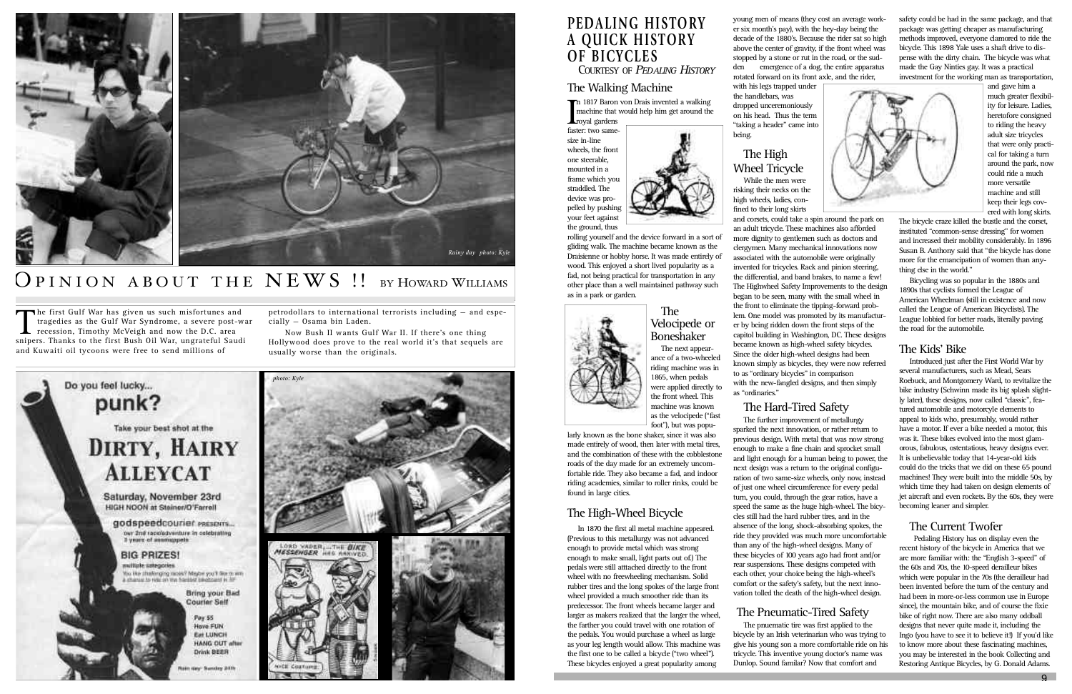# **PEDALING HISTORY A QUICK HISTORY OF BICYCLES**

**COURTESY OF PEDALING HISTORY** 

### The Walking Machine

In 1817 Baron von Drais invented a walking<br>
Imachine that would help him get around the<br>
faster: two samemachine that would help him get around the **L**royal gardens

faster: two samesize in-line wheels, the front one steerable, mounted in a frame which you straddled. The device was propelled by pushing your feet against the ground, thus





The Velocipede or **Boneshaker** The next appear-

rolling yourself and the device forward in a sort of gliding walk. The machine became known as the Draisienne or hobby horse. It was made entirely of wood. This enjoyed a short lived popularity as a fad, not being practical for transportation in any other place than a well maintained pathway such as in a park or garden.



larly known as the bone shaker, since it was also made entirely of wood, then later with metal tires, and the combination of these with the cobblestone roads of the day made for an extremely uncomfortable ride. They also became a fad, and indoor riding academies, similar to roller rinks, could be found in large cities.

ance of a two-wheeled riding machine was in 1865, when pedals were applied directly to the front wheel. This machine was known as the velocipede ("fast foot"), but was popu-

### The High-Wheel Bicycle

In 1870 the first all metal machine appeared. (Previous to this metallurgy was not advanced enough to provide metal which was strong enough to make small, light parts out of.) The pedals were still atttached directly to the front wheel with no freewheeling mechanism. Solid rubber tires and the long spokes of the large front wheel provided a much smoother ride than its predecessor. The front wheels became larger and larger as makers realized that the larger the wheel, the farther you could travel with one rotation of the pedals. You would purchase a wheel as large as your leg length would allow. This machine was the first one to be called a bicycle ("two wheel"). These bicycles enjoyed a great popularity among

young men of means (they cost an average worker six month's pay), with the hey-day being the decade of the 1880's. Because the rider sat so high above the center of gravity, if the front wheel was stopped by a stone or rut in the road, or the sudden emergence of a dog, the entire apparatus rotated forward on its front axle, and the rider,

The pnuematic tire was first applied to the bicycle by an Irish veterinarian who was trying to give his young son a more comfortable ride on his tricycle. This inventive young doctor's name was Dunlop. Sound familar? Now that comfort and

with his legs trapped under the handlebars, was dropped unceremoniously on his head. Thus the term "taking a header" came into being.

## The High Wheel Tricycle

While the men were

risking their necks on the high wheels, ladies, confined to their long skirts and corsets, could take a spin around the park on an adult tricycle. These machines also afforded more dignity to gentlemen such as doctors and clergymen. Many mechanical innovations now associated with the automobile were originally invented for tricycles. Rack and pinion steering, the differential, and band brakes, to name a few! The Highwheel Safety Improvements to the design began to be seen, many with the small wheel in the front to eliminate the tipping-forward problem. One model was promoted by its manufacturer by being ridden down the front steps of the capitol building in Washington, DC. These designs became known as high-wheel safety bicycles. Since the older high-wheel designs had been known simply as bicycles, they were now referred to as "ordinary bicycles" in comparison with the new-fangled designs, and then simply as "ordinaries."

### The Hard-Tired Safety

The first Gulf War has given us such misfortunes and<br>tragedies as the Gulf War Syndrome, a severe post-v<br>recession, Timothy McVeigh and now the D.C. area<br>sniners. Thanks to the first Bush Oil War, ungrateful Saud tragedies as the Gulf War Syndrome, a severe post-war **L** recession, Timothy McVeigh and now the D.C. area snipers. Thanks to the first Bush Oil War, ungrateful Saudi and Kuwaiti oil tycoons were free to send millions of

> The further improvement of metallurgy sparked the next innovation, or rather return to previous design. With metal that was now strong enough to make a fine chain and sprocket small and light enough for a human being to power, the next design was a return to the original configuration of two same-size wheels, only now, instead of just one wheel circumference for every pedal turn, you could, through the gear ratios, have a speed the same as the huge high-wheel. The bicycles still had the hard rubber tires, and in the absence of the long, shock-absorbing spokes, the ride they provided was much more uncomfortable than any of the high-wheel designs. Many of these bicycles of 100 years ago had front and/or rear suspensions. These designs competed with each other, your choice being the high-wheel's comfort or the safety's safety, but the next innovation tolled the death of the high-wheel design.

### The Pneumatic-Tired Safety

safety could be had in the same package, and that package was getting cheaper as manufacturing methods improved, everyone clamored to ride the bicycle. This 1898 Yale uses a shaft drive to dispense with the dirty chain. The bicycle was what made the Gay Ninties gay. It was a practical investment for the working man as transportation,



and gave him a much greater flexibility for leisure. Ladies, heretofore consigned to riding the heavy adult size tricycles that were only practical for taking a turn around the park, now could ride a much more versatile machine and still keep their legs covered with long skirts.

The bicycle craze killed the bustle and the corset, instituted "common-sense dressing" for women and increased their mobility considerably. In 1896 Susan B. Anthony said that "the bicycle has done more for the emancipation of women than anything else in the world."

Bicycling was so popular in the 1880s and 1890s that cyclists formed the League of American Wheelman (still in existence and now called the League of American Bicyclists). The League lobbied for better roads, literally paving the road for the automobile.

### The Kids' Bike

Introduced just after the First World War by several manufacturers, such as Mead, Sears Roebuck, and Montgomery Ward, to revitalize the bike industry (Schwinn made its big splash slightly later), these designs, now called "classic", featured automobile and motorcyle elements to appeal to kids who, presumably, would rather have a motor. If ever a bike needed a motor, this was it. These bikes evolved into the most glamorous, fabulous, ostentatious, heavy designs ever. It is unbelievable today that 14-year-old kids could do the tricks that we did on these 65 pound machines! They were built into the middle 50s, by which time they had taken on design elements of jet aircraft and even rockets. By the 60s, they were becoming leaner and simpler.

### The Current Twofer

Pedaling History has on display even the recent history of the bicycle in America that we are more familiar with: the "English 3-speed" of the 60s and 70s, the 10-speed derailleur bikes which were popular in the 70s (the derailleur had been invented before the turn of the century and had been in more-or-less common use in Europe since), the mountain bike, and of course the fixie bike of right now. There are also many oddball designs that never quite made it, including the Ingo (you have to see it to believe it!) If you'd like to know more about these fascinating machines, you may be interested in the book Collecting and Restoring Antique Bicycles, by G. Donald Adams.

petrodollars to international terrorists including — and especially — Osama bin Laden.

Now Bush II wants Gulf War II. If there's one thing Hollywood does prove to the real world it's that sequels are usually worse than the originals.



# OPINION ABOUT THE NEWS !! BY HOWARD WILLIAMS

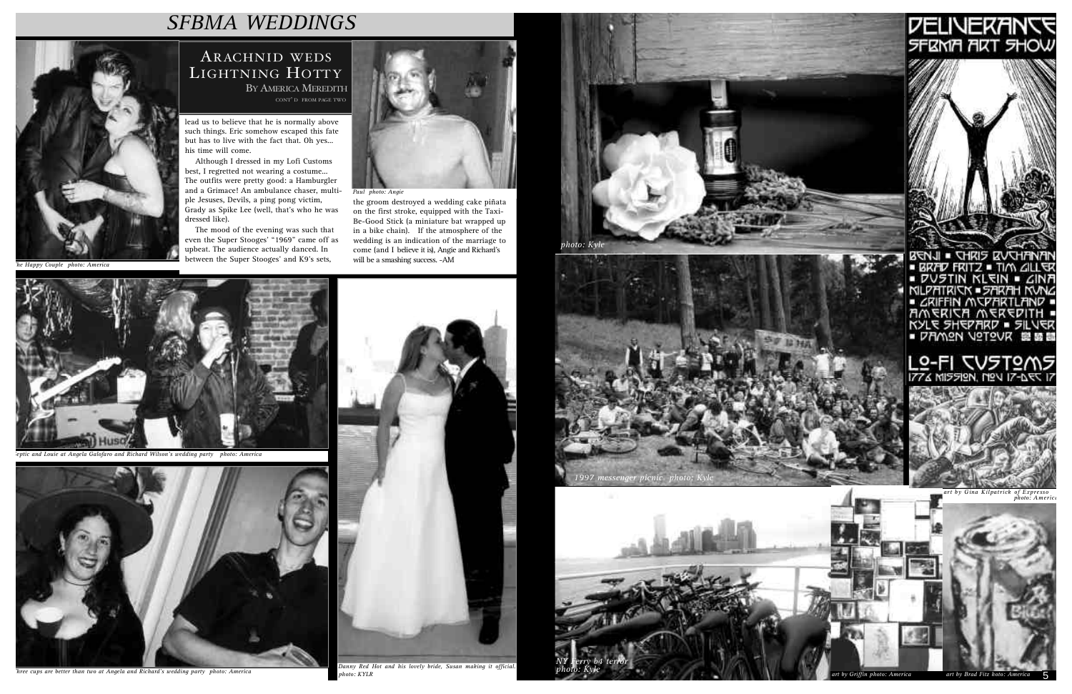lead us to believe that he is normally above such things. Eric somehow escaped this fate but has to live with the fact that. Oh yes... his time will come.

Although I dressed in my Lofi Customs best, I regretted not wearing a costume... The outfits were pretty good: a Hamburgler and a Grimace! An ambulance chaser, multiple Jesuses, Devils, a ping pong victim, Grady as Spike Lee (well, that's who he was dressed like).

ARACHNID WEDS LIGHTNING HOTTY BY AMERICA MEREDITH (CONT' D FROM PAGE TWO)

The mood of the evening was such that even the Super Stooges' "1969" came off as upbeat. The audience actually danced. In between the Super Stooges' and K9's sets,



the groom destroyed a wedding cake piñata on the first stroke, equipped with the Taxi-Be-Good Stick (a miniature bat wrapped up in a bike chain). If the atmosphere of the wedding is an indication of the marriage to come (and I believe it is), Angie and Richard's will be a smashing success. -AM

*Paul photo: Angie*



*The Happy Couple photo: America*



*Septic and Louie at Angela Galofaro and Richard Wilson's wedding party photo: America*



*Three cups are better than two at Angela and Richard's wedding party photo: America*



*photo: KYLR*

# *SFBMA WEDDINGS*











BENJI . CHRIS EVENTINAN<br>• BRAD FRITZ . TIM GILLER<br>• DUSTIN KLEIN . GINA<br>• MLPATRIEN . SARAH KUNG *CRIFFIN MUPARTLAND* AMERICA MEREDITH<br>KYLE SHEPARD - SILVER<br>- DAMON VOTOVR SIST

# L9-F1 TV5T9M5<br>1774 MI5519N, N9N 17-AFR 17



*Gina Kilpatrick of Expresso*<br>*photo: America*